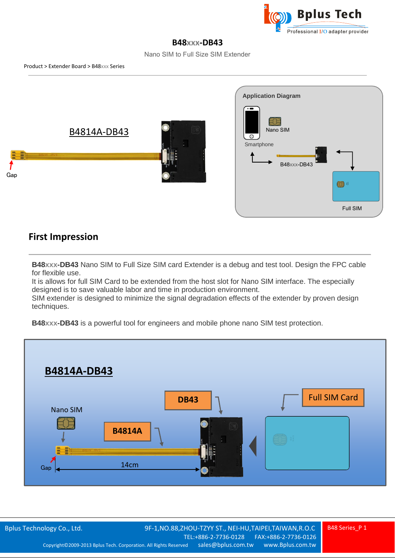

## **B48xxx-DB43**

Nano SIM to Full Size SIM Extender



## **First Impression**

**B48xxx-DB43** Nano SIM to Full Size SIM card Extender is a debug and test tool. Design the FPC cable for flexible use.

It is allows for full SIM Card to be extended from the host slot for Nano SIM interface. The especially designed is to save valuable labor and time in production environment.

SIM extender is designed to minimize the signal degradation effects of the extender by proven design techniques.

**B48xxx-DB43** is a powerful tool for engineers and mobile phone nano SIM test protection.

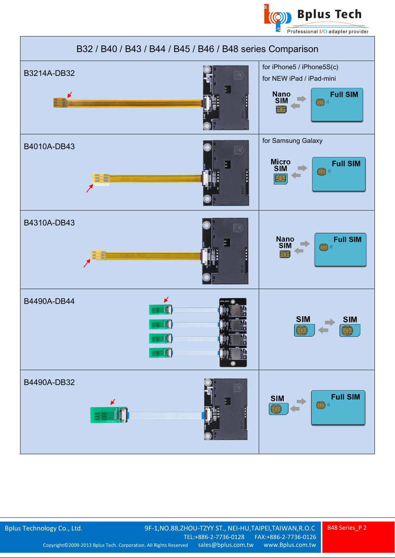